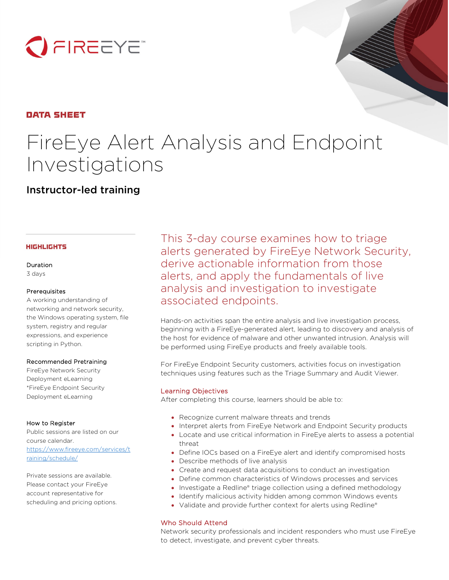

# **DATA SHEET**

# FireEye Alert Analysis and Endpoint Investigations

Instructor-led training

# **HIGHLIGHTS**

Duration 3 days

# Prerequisites

A working understanding of networking and network security, the Windows operating system, file system, registry and regular expressions, and experience scripting in Python.

#### Recommended Pretraining

FireEye Network Security Deployment eLearning \*FireEye Endpoint Security Deployment eLearning

# How to Register

Public sessions are listed on our course calendar. [https://www.fireeye.com/services/t](https://www.fireeye.com/services/training/schedule/) [raining/schedule/](https://www.fireeye.com/services/training/schedule/)

Private sessions are available. Please contact your FireEye account representative for scheduling and pricing options. This 3-day course examines how to triage alerts generated by FireEye Network Security, derive actionable information from those alerts, and apply the fundamentals of live analysis and investigation to investigate associated endpoints.

Hands-on activities span the entire analysis and live investigation process, beginning with a FireEye-generated alert, leading to discovery and analysis of the host for evidence of malware and other unwanted intrusion. Analysis will be performed using FireEye products and freely available tools.

For FireEye Endpoint Security customers, activities focus on investigation techniques using features such as the Triage Summary and Audit Viewer.

# Learning Objectives

After completing this course, learners should be able to:

- Recognize current malware threats and trends
- Interpret alerts from FireEye Network and Endpoint Security products
- Locate and use critical information in FireEye alerts to assess a potential threat
- Define IOCs based on a FireEye alert and identify compromised hosts
- Describe methods of live analysis
- Create and request data acquisitions to conduct an investigation
- Define common characteristics of Windows processes and services
- Investigate a Redline® triage collection using a defined methodology
- Identify malicious activity hidden among common Windows events
- Validate and provide further context for alerts using Redline®

# Who Should Attend

Network security professionals and incident responders who must use FireEye to detect, investigate, and prevent cyber threats.